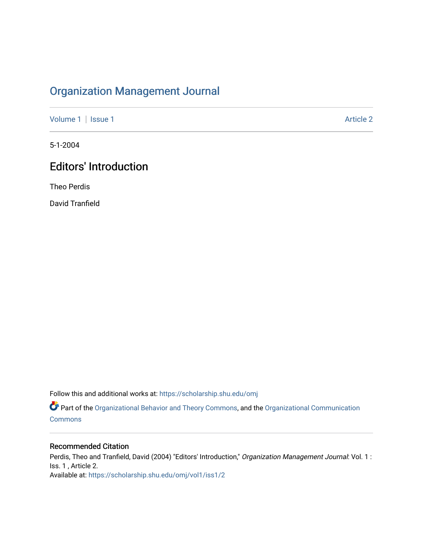## [Organization Management Journal](https://scholarship.shu.edu/omj)

[Volume 1](https://scholarship.shu.edu/omj/vol1) | [Issue 1](https://scholarship.shu.edu/omj/vol1/iss1) Article 2

5-1-2004

## Editors' Introduction

Theo Perdis

David Tranfield

Follow this and additional works at: [https://scholarship.shu.edu/omj](https://scholarship.shu.edu/omj?utm_source=scholarship.shu.edu%2Fomj%2Fvol1%2Fiss1%2F2&utm_medium=PDF&utm_campaign=PDFCoverPages) 

Part of the [Organizational Behavior and Theory Commons,](http://network.bepress.com/hgg/discipline/639?utm_source=scholarship.shu.edu%2Fomj%2Fvol1%2Fiss1%2F2&utm_medium=PDF&utm_campaign=PDFCoverPages) and the [Organizational Communication](http://network.bepress.com/hgg/discipline/335?utm_source=scholarship.shu.edu%2Fomj%2Fvol1%2Fiss1%2F2&utm_medium=PDF&utm_campaign=PDFCoverPages) [Commons](http://network.bepress.com/hgg/discipline/335?utm_source=scholarship.shu.edu%2Fomj%2Fvol1%2Fiss1%2F2&utm_medium=PDF&utm_campaign=PDFCoverPages)

## Recommended Citation

Perdis, Theo and Tranfield, David (2004) "Editors' Introduction," Organization Management Journal: Vol. 1 : Iss. 1 , Article 2. Available at: [https://scholarship.shu.edu/omj/vol1/iss1/2](https://scholarship.shu.edu/omj/vol1/iss1/2?utm_source=scholarship.shu.edu%2Fomj%2Fvol1%2Fiss1%2F2&utm_medium=PDF&utm_campaign=PDFCoverPages)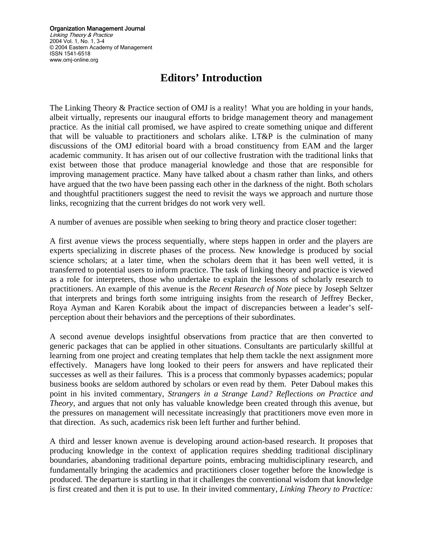Organization Management Journal Linking Theory & Practice 2004 Vol. 1, No. 1, 3-4 © 2004 Eastern Academy of Management ISSN 1541-6518 www.omj-online.org

## **Editors' Introduction**

The Linking Theory & Practice section of OMJ is a reality! What you are holding in your hands, albeit virtually, represents our inaugural efforts to bridge management theory and management practice. As the initial call promised, we have aspired to create something unique and different that will be valuable to practitioners and scholars alike. LT&P is the culmination of many discussions of the OMJ editorial board with a broad constituency from EAM and the larger academic community. It has arisen out of our collective frustration with the traditional links that exist between those that produce managerial knowledge and those that are responsible for improving management practice. Many have talked about a chasm rather than links, and others have argued that the two have been passing each other in the darkness of the night. Both scholars and thoughtful practitioners suggest the need to revisit the ways we approach and nurture those links, recognizing that the current bridges do not work very well.

A number of avenues are possible when seeking to bring theory and practice closer together:

A first avenue views the process sequentially, where steps happen in order and the players are experts specializing in discrete phases of the process. New knowledge is produced by social science scholars; at a later time, when the scholars deem that it has been well vetted, it is transferred to potential users to inform practice. The task of linking theory and practice is viewed as a role for interpreters, those who undertake to explain the lessons of scholarly research to practitioners. An example of this avenue is the *Recent Research of Note* piece by Joseph Seltzer that interprets and brings forth some intriguing insights from the research of Jeffrey Becker, Roya Ayman and Karen Korabik about the impact of discrepancies between a leader's selfperception about their behaviors and the perceptions of their subordinates.

A second avenue develops insightful observations from practice that are then converted to generic packages that can be applied in other situations. Consultants are particularly skillful at learning from one project and creating templates that help them tackle the next assignment more effectively. Managers have long looked to their peers for answers and have replicated their successes as well as their failures. This is a process that commonly bypasses academics; popular business books are seldom authored by scholars or even read by them. Peter Daboul makes this point in his invited commentary, *Strangers in a Strange Land? Reflections on Practice and Theory,* and argues that not only has valuable knowledge been created through this avenue, but the pressures on management will necessitate increasingly that practitioners move even more in that direction. As such, academics risk been left further and further behind.

A third and lesser known avenue is developing around action-based research. It proposes that producing knowledge in the context of application requires shedding traditional disciplinary boundaries, abandoning traditional departure points, embracing multidisciplinary research, and fundamentally bringing the academics and practitioners closer together before the knowledge is produced. The departure is startling in that it challenges the conventional wisdom that knowledge is first created and then it is put to use. In their invited commentary, *Linking Theory to Practice:*